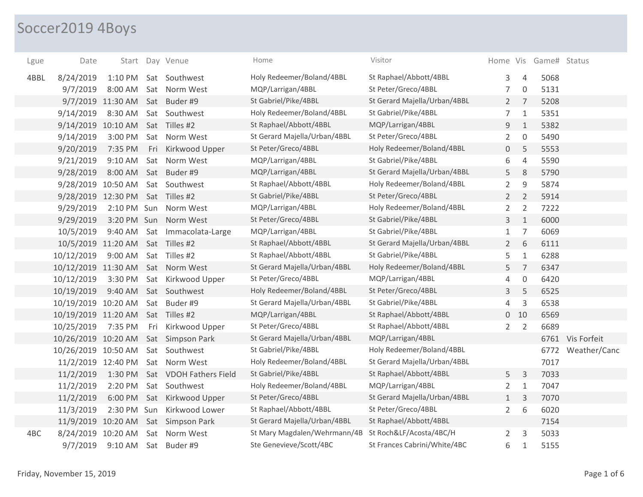## Soccer2019 4Boys

| Lgue | Date                |                   |     | Start Day Venue        | Home                         | Visitor                      |                |                | Home Vis Game# Status |                   |
|------|---------------------|-------------------|-----|------------------------|------------------------------|------------------------------|----------------|----------------|-----------------------|-------------------|
| 4BBL | 8/24/2019           | $1:10$ PM         |     | Sat Southwest          | Holy Redeemer/Boland/4BBL    | St Raphael/Abbott/4BBL       | 3              | $\overline{4}$ | 5068                  |                   |
|      | 9/7/2019            | 8:00 AM           |     | Sat Norm West          | MQP/Larrigan/4BBL            | St Peter/Greco/4BBL          | 7              | $\mathbf 0$    | 5131                  |                   |
|      |                     | 9/7/2019 11:30 AM |     | Sat Buder #9           | St Gabriel/Pike/4BBL         | St Gerard Majella/Urban/4BBL | $2^{\circ}$    | $\overline{7}$ | 5208                  |                   |
|      | 9/14/2019           | 8:30 AM           |     | Sat Southwest          | Holy Redeemer/Boland/4BBL    | St Gabriel/Pike/4BBL         | $\overline{7}$ | $\mathbf{1}$   | 5351                  |                   |
|      | 9/14/2019 10:10 AM  |                   |     | Sat Tilles #2          | St Raphael/Abbott/4BBL       | MQP/Larrigan/4BBL            | 9              | $\mathbf{1}$   | 5382                  |                   |
|      | 9/14/2019           | 3:00 PM           |     | Sat Norm West          | St Gerard Majella/Urban/4BBL | St Peter/Greco/4BBL          | $\overline{2}$ | $\mathbf 0$    | 5490                  |                   |
|      | 9/20/2019           | 7:35 PM           | Fri | Kirkwood Upper         | St Peter/Greco/4BBL          | Holy Redeemer/Boland/4BBL    | 0              | 5              | 5553                  |                   |
|      | 9/21/2019           | 9:10 AM           |     | Sat Norm West          | MQP/Larrigan/4BBL            | St Gabriel/Pike/4BBL         | 6              | $\sqrt{4}$     | 5590                  |                   |
|      | 9/28/2019           | 8:00 AM           |     | Sat Buder #9           | MQP/Larrigan/4BBL            | St Gerard Majella/Urban/4BBL | 5              | $\,8\,$        | 5790                  |                   |
|      | 9/28/2019 10:50 AM  |                   |     | Sat Southwest          | St Raphael/Abbott/4BBL       | Holy Redeemer/Boland/4BBL    | $\overline{2}$ | $\mathsf 9$    | 5874                  |                   |
|      | 9/28/2019 12:30 PM  |                   |     | Sat Tilles #2          | St Gabriel/Pike/4BBL         | St Peter/Greco/4BBL          | $2^{\circ}$    | $\overline{2}$ | 5914                  |                   |
|      | 9/29/2019           |                   |     | 2:10 PM Sun Norm West  | MQP/Larrigan/4BBL            | Holy Redeemer/Boland/4BBL    | $\overline{2}$ | $\overline{2}$ | 7222                  |                   |
|      | 9/29/2019           | 3:20 PM Sun       |     | Norm West              | St Peter/Greco/4BBL          | St Gabriel/Pike/4BBL         | $\mathbf{3}$   | $\mathbf{1}$   | 6000                  |                   |
|      | 10/5/2019           | 9:40 AM           |     | Sat Immacolata-Large   | MQP/Larrigan/4BBL            | St Gabriel/Pike/4BBL         | $\mathbf{1}$   | 7              | 6069                  |                   |
|      | 10/5/2019 11:20 AM  |                   |     | Sat Tilles #2          | St Raphael/Abbott/4BBL       | St Gerard Majella/Urban/4BBL | $2^{\circ}$    | 6              | 6111                  |                   |
|      | 10/12/2019          | 9:00 AM           |     | Sat Tilles #2          | St Raphael/Abbott/4BBL       | St Gabriel/Pike/4BBL         | 5              | $1\,$          | 6288                  |                   |
|      | 10/12/2019 11:30 AM |                   |     | Sat Norm West          | St Gerard Majella/Urban/4BBL | Holy Redeemer/Boland/4BBL    | 5              | $\overline{7}$ | 6347                  |                   |
|      | 10/12/2019          | 3:30 PM           |     | Sat Kirkwood Upper     | St Peter/Greco/4BBL          | MQP/Larrigan/4BBL            | 4              | $\mathbf 0$    | 6420                  |                   |
|      | 10/19/2019          | 9:40 AM           |     | Sat Southwest          | Holy Redeemer/Boland/4BBL    | St Peter/Greco/4BBL          | 3              | 5              | 6525                  |                   |
|      | 10/19/2019 10:20 AM |                   |     | Sat Buder #9           | St Gerard Majella/Urban/4BBL | St Gabriel/Pike/4BBL         | 4              | 3              | 6538                  |                   |
|      | 10/19/2019 11:20 AM |                   |     | Sat Tilles #2          | MQP/Larrigan/4BBL            | St Raphael/Abbott/4BBL       |                | $0$ 10         | 6569                  |                   |
|      | 10/25/2019          | 7:35 PM           | Fri | Kirkwood Upper         | St Peter/Greco/4BBL          | St Raphael/Abbott/4BBL       | $2^{\circ}$    | $\overline{2}$ | 6689                  |                   |
|      | 10/26/2019 10:20 AM |                   |     | Sat Simpson Park       | St Gerard Majella/Urban/4BBL | MQP/Larrigan/4BBL            |                |                |                       | 6761 Vis Forfeit  |
|      | 10/26/2019 10:50 AM |                   |     | Sat Southwest          | St Gabriel/Pike/4BBL         | Holy Redeemer/Boland/4BBL    |                |                |                       | 6772 Weather/Canc |
|      | 11/2/2019 12:40 PM  |                   |     | Sat Norm West          | Holy Redeemer/Boland/4BBL    | St Gerard Majella/Urban/4BBL |                |                | 7017                  |                   |
|      | 11/2/2019           | 1:30 PM           |     | Sat VDOH Fathers Field | St Gabriel/Pike/4BBL         | St Raphael/Abbott/4BBL       | 5              | 3              | 7033                  |                   |
|      | 11/2/2019           | 2:20 PM           |     | Sat Southwest          | Holy Redeemer/Boland/4BBL    | MQP/Larrigan/4BBL            | $\overline{2}$ | $\mathbf{1}$   | 7047                  |                   |
|      | 11/2/2019           | 6:00 PM           |     | Sat Kirkwood Upper     | St Peter/Greco/4BBL          | St Gerard Majella/Urban/4BBL | 1              | 3              | 7070                  |                   |
|      | 11/3/2019           | 2:30 PM Sun       |     | Kirkwood Lower         | St Raphael/Abbott/4BBL       | St Peter/Greco/4BBL          | $\overline{2}$ | 6              | 6020                  |                   |
|      | 11/9/2019 10:20 AM  |                   |     | Sat Simpson Park       | St Gerard Majella/Urban/4BBL | St Raphael/Abbott/4BBL       |                |                | 7154                  |                   |
| 4BC  | 8/24/2019 10:20 AM  |                   | Sat | Norm West              | St Mary Magdalen/Wehrmann/4B | St Roch&LF/Acosta/4BC/H      | $\overline{2}$ | 3              | 5033                  |                   |
|      | 9/7/2019            | 9:10 AM           |     | Sat Buder #9           | Ste Genevieve/Scott/4BC      | St Frances Cabrini/White/4BC | 6              | $\mathbf{1}$   | 5155                  |                   |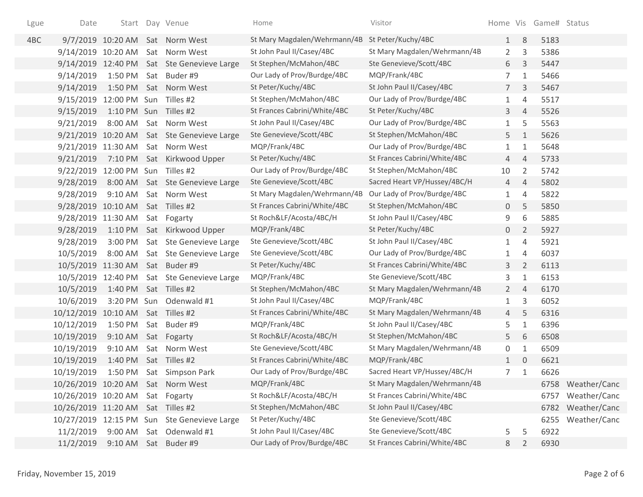| Lgue | Date                              |              | Start Day Venue                             | Home                         | Visitor                      |                 |                | Home Vis Game# Status |                   |
|------|-----------------------------------|--------------|---------------------------------------------|------------------------------|------------------------------|-----------------|----------------|-----------------------|-------------------|
| 4BC  |                                   |              | 9/7/2019 10:20 AM Sat Norm West             | St Mary Magdalen/Wehrmann/4B | St Peter/Kuchy/4BC           | 1               | 8              | 5183                  |                   |
|      | 9/14/2019 10:20 AM                |              | Sat Norm West                               | St John Paul II/Casey/4BC    | St Mary Magdalen/Wehrmann/4B | $\overline{2}$  | 3              | 5386                  |                   |
|      |                                   |              | 9/14/2019 12:40 PM Sat Ste Genevieve Large  | St Stephen/McMahon/4BC       | Ste Genevieve/Scott/4BC      | 6               | 3              | 5447                  |                   |
|      | 9/14/2019                         | 1:50 PM      | Sat Buder#9                                 | Our Lady of Prov/Burdge/4BC  | MQP/Frank/4BC                | $\overline{7}$  | $\mathbf{1}$   | 5466                  |                   |
|      | 9/14/2019                         | 1:50 PM      | Sat Norm West                               | St Peter/Kuchy/4BC           | St John Paul II/Casey/4BC    | $7\overline{ }$ | 3              | 5467                  |                   |
|      | 9/15/2019                         | 12:00 PM Sun | Tilles #2                                   | St Stephen/McMahon/4BC       | Our Lady of Prov/Burdge/4BC  | $\mathbf{1}$    | $\overline{4}$ | 5517                  |                   |
|      | 9/15/2019                         | 1:10 PM Sun  | Tilles #2                                   | St Frances Cabrini/White/4BC | St Peter/Kuchy/4BC           | 3               | $\overline{4}$ | 5526                  |                   |
|      | 9/21/2019                         | 8:00 AM      | Sat Norm West                               | St John Paul II/Casey/4BC    | Our Lady of Prov/Burdge/4BC  | $\mathbf{1}$    | 5              | 5563                  |                   |
|      |                                   |              | 9/21/2019 10:20 AM Sat Ste Genevieve Large  | Ste Genevieve/Scott/4BC      | St Stephen/McMahon/4BC       | 5               | $\mathbf{1}$   | 5626                  |                   |
|      | 9/21/2019 11:30 AM                |              | Sat Norm West                               | MQP/Frank/4BC                | Our Lady of Prov/Burdge/4BC  | $\mathbf{1}$    | $\mathbf{1}$   | 5648                  |                   |
|      | 9/21/2019                         |              | 7:10 PM Sat Kirkwood Upper                  | St Peter/Kuchy/4BC           | St Frances Cabrini/White/4BC | 4               | $\overline{4}$ | 5733                  |                   |
|      | 9/22/2019 12:00 PM Sun Tilles #2  |              |                                             | Our Lady of Prov/Burdge/4BC  | St Stephen/McMahon/4BC       | 10              | 2              | 5742                  |                   |
|      | 9/28/2019                         |              | 8:00 AM Sat Ste Genevieve Large             | Ste Genevieve/Scott/4BC      | Sacred Heart VP/Hussey/4BC/H | $\overline{4}$  | $\overline{4}$ | 5802                  |                   |
|      | 9/28/2019                         | 9:10 AM      | Sat Norm West                               | St Mary Magdalen/Wehrmann/4B | Our Lady of Prov/Burdge/4BC  | $\mathbf{1}$    | $\overline{4}$ | 5822                  |                   |
|      | 9/28/2019 10:10 AM Sat Tilles #2  |              |                                             | St Frances Cabrini/White/4BC | St Stephen/McMahon/4BC       | 0               | 5              | 5850                  |                   |
|      | 9/28/2019 11:30 AM                |              | Sat Fogarty                                 | St Roch&LF/Acosta/4BC/H      | St John Paul II/Casey/4BC    | 9               | 6              | 5885                  |                   |
|      | 9/28/2019                         |              | 1:10 PM Sat Kirkwood Upper                  | MQP/Frank/4BC                | St Peter/Kuchy/4BC           | $\mathsf{O}$    | $\overline{2}$ | 5927                  |                   |
|      | 9/28/2019                         | 3:00 PM      | Sat Ste Genevieve Large                     | Ste Genevieve/Scott/4BC      | St John Paul II/Casey/4BC    | $\mathbf{1}$    | $\overline{4}$ | 5921                  |                   |
|      | 10/5/2019                         |              | 8:00 AM Sat Ste Genevieve Large             | Ste Genevieve/Scott/4BC      | Our Lady of Prov/Burdge/4BC  | $\mathbf{1}$    | 4              | 6037                  |                   |
|      | 10/5/2019 11:30 AM Sat Buder #9   |              |                                             | St Peter/Kuchy/4BC           | St Frances Cabrini/White/4BC | 3               | $\overline{2}$ | 6113                  |                   |
|      | 10/5/2019 12:40 PM                |              | Sat Ste Genevieve Large                     | MQP/Frank/4BC                | Ste Genevieve/Scott/4BC      | 3               | $\mathbf{1}$   | 6153                  |                   |
|      | 10/5/2019                         | 1:40 PM      | Sat Tilles #2                               | St Stephen/McMahon/4BC       | St Mary Magdalen/Wehrmann/4B | $\overline{2}$  | $\overline{4}$ | 6170                  |                   |
|      | 10/6/2019                         |              | 3:20 PM Sun Odenwald #1                     | St John Paul II/Casey/4BC    | MQP/Frank/4BC                | $\mathbf{1}$    | 3              | 6052                  |                   |
|      | 10/12/2019 10:10 AM               |              | Sat Tilles #2                               | St Frances Cabrini/White/4BC | St Mary Magdalen/Wehrmann/4B | 4               | 5              | 6316                  |                   |
|      | 10/12/2019                        | 1:50 PM      | Sat Buder #9                                | MQP/Frank/4BC                | St John Paul II/Casey/4BC    | 5               | $\mathbf{1}$   | 6396                  |                   |
|      | 10/19/2019                        | $9:10$ AM    | Sat Fogarty                                 | St Roch&LF/Acosta/4BC/H      | St Stephen/McMahon/4BC       | 5               | 6              | 6508                  |                   |
|      | 10/19/2019                        | 9:10 AM      | Sat Norm West                               | Ste Genevieve/Scott/4BC      | St Mary Magdalen/Wehrmann/4B | 0               | $\mathbf{1}$   | 6509                  |                   |
|      | 10/19/2019                        | 1:40 PM      | Sat Tilles #2                               | St Frances Cabrini/White/4BC | MQP/Frank/4BC                | $\mathbf{1}$    | $\overline{0}$ | 6621                  |                   |
|      | 10/19/2019                        |              | 1:50 PM Sat Simpson Park                    | Our Lady of Prov/Burdge/4BC  | Sacred Heart VP/Hussey/4BC/H | $\overline{7}$  | $\mathbf{1}$   | 6626                  |                   |
|      | 10/26/2019 10:20 AM Sat Norm West |              |                                             | MQP/Frank/4BC                | St Mary Magdalen/Wehrmann/4B |                 |                |                       | 6758 Weather/Canc |
|      | 10/26/2019 10:20 AM Sat Fogarty   |              |                                             | St Roch&LF/Acosta/4BC/H      | St Frances Cabrini/White/4BC |                 |                | 6757                  | Weather/Canc      |
|      | 10/26/2019 11:20 AM Sat Tilles #2 |              |                                             | St Stephen/McMahon/4BC       | St John Paul II/Casey/4BC    |                 |                | 6782                  | Weather/Canc      |
|      |                                   |              | 10/27/2019 12:15 PM Sun Ste Genevieve Large | St Peter/Kuchy/4BC           | Ste Genevieve/Scott/4BC      |                 |                |                       | 6255 Weather/Canc |
|      | 11/2/2019                         |              | 9:00 AM Sat Odenwald #1                     | St John Paul II/Casey/4BC    | Ste Genevieve/Scott/4BC      | 5               | 5              | 6922                  |                   |
|      | 11/2/2019                         |              | 9:10 AM Sat Buder #9                        | Our Lady of Prov/Burdge/4BC  | St Frances Cabrini/White/4BC | 8               | 2              | 6930                  |                   |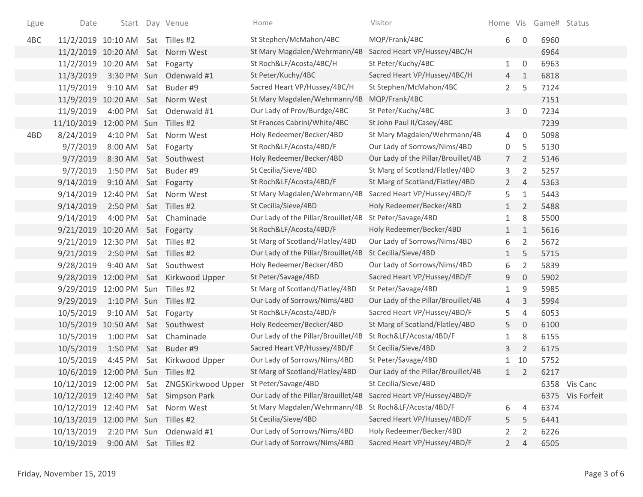| Lgue | Date                              |                       |     | Start Day Venue                            | Home                                | Visitor                             |                |                     | Home Vis Game# Status |                  |
|------|-----------------------------------|-----------------------|-----|--------------------------------------------|-------------------------------------|-------------------------------------|----------------|---------------------|-----------------------|------------------|
| 4BC  | 11/2/2019 10:10 AM Sat Tilles #2  |                       |     |                                            | St Stephen/McMahon/4BC              | MQP/Frank/4BC                       | 6              | 0                   | 6960                  |                  |
|      |                                   |                       |     | 11/2/2019 10:20 AM Sat Norm West           | St Mary Magdalen/Wehrmann/4B        | Sacred Heart VP/Hussey/4BC/H        |                |                     | 6964                  |                  |
|      | 11/2/2019 10:20 AM                |                       |     | Sat Fogarty                                | St Roch&LF/Acosta/4BC/H             | St Peter/Kuchy/4BC                  | $\mathbf{1}$   | $\mathbf 0$         | 6963                  |                  |
|      | 11/3/2019                         | 3:30 PM Sun           |     | Odenwald #1                                | St Peter/Kuchy/4BC                  | Sacred Heart VP/Hussey/4BC/H        | $\overline{4}$ | $\mathbf{1}$        | 6818                  |                  |
|      | 11/9/2019                         | 9:10 AM               | Sat | Buder #9                                   | Sacred Heart VP/Hussey/4BC/H        | St Stephen/McMahon/4BC              | $\overline{2}$ | 5                   | 7124                  |                  |
|      |                                   |                       |     | 11/9/2019 10:20 AM Sat Norm West           | St Mary Magdalen/Wehrmann/4B        | MQP/Frank/4BC                       |                |                     | 7151                  |                  |
|      | 11/9/2019                         | 4:00 PM               |     | Sat Odenwald #1                            | Our Lady of Prov/Burdge/4BC         | St Peter/Kuchy/4BC                  | 3              | $\mathsf{O}\xspace$ | 7234                  |                  |
|      | 11/10/2019 12:00 PM Sun Tilles #2 |                       |     |                                            | St Frances Cabrini/White/4BC        | St John Paul II/Casey/4BC           |                |                     | 7239                  |                  |
| 4BD  | 8/24/2019                         |                       |     | 4:10 PM Sat Norm West                      | Holy Redeemer/Becker/4BD            | St Mary Magdalen/Wehrmann/4B        | 4              | $\mathbf 0$         | 5098                  |                  |
|      | 9/7/2019                          | 8:00 AM               |     | Sat Fogarty                                | St Roch&LF/Acosta/4BD/F             | Our Lady of Sorrows/Nims/4BD        | 0              | 5                   | 5130                  |                  |
|      | 9/7/2019                          | 8:30 AM               |     | Sat Southwest                              | Holy Redeemer/Becker/4BD            | Our Lady of the Pillar/Brouillet/4B | 7 <sup>7</sup> | 2                   | 5146                  |                  |
|      | 9/7/2019                          | 1:50 PM               |     | Sat Buder#9                                | St Cecilia/Sieve/4BD                | St Marg of Scotland/Flatley/4BD     | 3              | $\overline{2}$      | 5257                  |                  |
|      | 9/14/2019                         | 9:10 AM               |     | Sat Fogarty                                | St Roch&LF/Acosta/4BD/F             | St Marg of Scotland/Flatley/4BD     | $2^{\circ}$    | $\overline{4}$      | 5363                  |                  |
|      | 9/14/2019 12:40 PM                |                       |     | Sat Norm West                              | St Mary Magdalen/Wehrmann/4B        | Sacred Heart VP/Hussey/4BD/F        | 5              | $\mathbf{1}$        | 5443                  |                  |
|      | 9/14/2019                         | 2:50 PM Sat Tilles #2 |     |                                            | St Cecilia/Sieve/4BD                | Holy Redeemer/Becker/4BD            | $\mathbf{1}$   | $\overline{2}$      | 5488                  |                  |
|      | 9/14/2019                         | 4:00 PM               |     | Sat Chaminade                              | Our Lady of the Pillar/Brouillet/4B | St Peter/Savage/4BD                 | 1              | 8                   | 5500                  |                  |
|      | 9/21/2019 10:20 AM                |                       |     | Sat Fogarty                                | St Roch&LF/Acosta/4BD/F             | Holy Redeemer/Becker/4BD            | $\mathbf{1}$   | $\mathbf{1}$        | 5616                  |                  |
|      | 9/21/2019 12:30 PM                |                       |     | Sat Tilles #2                              | St Marg of Scotland/Flatley/4BD     | Our Lady of Sorrows/Nims/4BD        | 6              | $\overline{2}$      | 5672                  |                  |
|      | 9/21/2019                         | 2:50 PM               |     | Sat Tilles #2                              | Our Lady of the Pillar/Brouillet/4B | St Cecilia/Sieve/4BD                | $\mathbf{1}$   | 5                   | 5715                  |                  |
|      | 9/28/2019                         | 9:40 AM               |     | Sat Southwest                              | Holy Redeemer/Becker/4BD            | Our Lady of Sorrows/Nims/4BD        | 6              | 2                   | 5839                  |                  |
|      |                                   |                       |     | 9/28/2019 12:00 PM Sat Kirkwood Upper      | St Peter/Savage/4BD                 | Sacred Heart VP/Hussey/4BD/F        | 9              | $\mathbf 0$         | 5902                  |                  |
|      | 9/29/2019 12:00 PM Sun Tilles #2  |                       |     |                                            | St Marg of Scotland/Flatley/4BD     | St Peter/Savage/4BD                 | 1              | 9                   | 5985                  |                  |
|      | 9/29/2019                         | 1:10 PM Sun Tilles #2 |     |                                            | Our Lady of Sorrows/Nims/4BD        | Our Lady of the Pillar/Brouillet/4B | 4              | $\mathsf{3}$        | 5994                  |                  |
|      | 10/5/2019                         | $9:10$ AM             |     | Sat Fogarty                                | St Roch&LF/Acosta/4BD/F             | Sacred Heart VP/Hussey/4BD/F        | 5              | $\overline{4}$      | 6053                  |                  |
|      | 10/5/2019 10:50 AM                |                       |     | Sat Southwest                              | Holy Redeemer/Becker/4BD            | St Marg of Scotland/Flatley/4BD     | 5              | $\overline{0}$      | 6100                  |                  |
|      | 10/5/2019                         | 1:00 PM               |     | Sat Chaminade                              | Our Lady of the Pillar/Brouillet/4B | St Roch&LF/Acosta/4BD/F             | 1              | 8                   | 6155                  |                  |
|      | 10/5/2019                         |                       |     | 1:50 PM Sat Buder #9                       | Sacred Heart VP/Hussey/4BD/F        | St Cecilia/Sieve/4BD                | 3              | $\overline{2}$      | 6175                  |                  |
|      | 10/5/2019                         | 4:45 PM               |     | Sat Kirkwood Upper                         | Our Lady of Sorrows/Nims/4BD        | St Peter/Savage/4BD                 | 1              | 10                  | 5752                  |                  |
|      | 10/6/2019 12:00 PM Sun Tilles #2  |                       |     |                                            | St Marg of Scotland/Flatley/4BD     | Our Lady of the Pillar/Brouillet/4B | 1              | $\overline{2}$      | 6217                  |                  |
|      |                                   |                       |     | 10/12/2019 12:00 PM Sat ZNGSKirkwood Upper | St Peter/Savage/4BD                 | St Cecilia/Sieve/4BD                |                |                     |                       | 6358 Vis Canc    |
|      |                                   |                       |     | 10/12/2019 12:40 PM Sat Simpson Park       | Our Lady of the Pillar/Brouillet/4B | Sacred Heart VP/Hussey/4BD/F        |                |                     |                       | 6375 Vis Forfeit |
|      | 10/12/2019 12:40 PM Sat Norm West |                       |     |                                            | St Mary Magdalen/Wehrmann/4B        | St Roch&LF/Acosta/4BD/F             | 6              | 4                   | 6374                  |                  |
|      | 10/13/2019 12:00 PM Sun Tilles #2 |                       |     |                                            | St Cecilia/Sieve/4BD                | Sacred Heart VP/Hussey/4BD/F        | 5.             | 5                   | 6441                  |                  |
|      | 10/13/2019                        | 2:20 PM Sun           |     | Odenwald #1                                | Our Lady of Sorrows/Nims/4BD        | Holy Redeemer/Becker/4BD            | 2              | 2                   | 6226                  |                  |
|      | 10/19/2019                        | 9:00 AM Sat Tilles #2 |     |                                            | Our Lady of Sorrows/Nims/4BD        | Sacred Heart VP/Hussey/4BD/F        | $\overline{2}$ | 4                   | 6505                  |                  |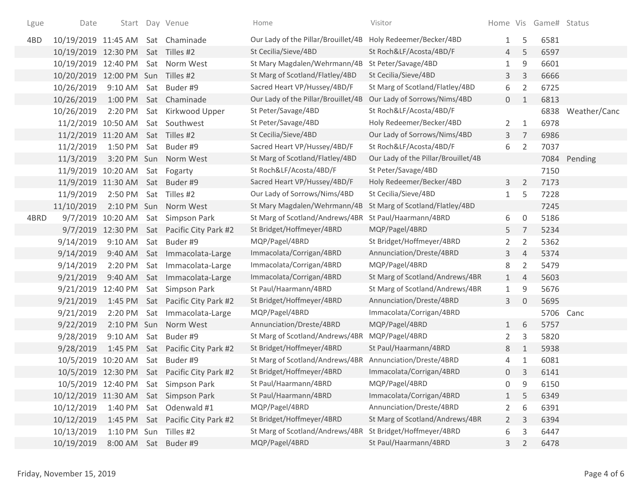| Lgue | Date                              |                        |     | Start Day Venue                             | Home                                | Visitor                             |                |                | Home Vis Game# Status |                   |
|------|-----------------------------------|------------------------|-----|---------------------------------------------|-------------------------------------|-------------------------------------|----------------|----------------|-----------------------|-------------------|
| 4BD  | 10/19/2019 11:45 AM Sat Chaminade |                        |     |                                             | Our Lady of the Pillar/Brouillet/4B | Holy Redeemer/Becker/4BD            | $\mathbf{1}$   | 5              | 6581                  |                   |
|      | 10/19/2019 12:30 PM               |                        |     | Sat Tilles #2                               | St Cecilia/Sieve/4BD                | St Roch&LF/Acosta/4BD/F             | 4              | 5              | 6597                  |                   |
|      | 10/19/2019                        | 12:40 PM               |     | Sat Norm West                               | St Mary Magdalen/Wehrmann/4B        | St Peter/Savage/4BD                 | 1              | 9              | 6601                  |                   |
|      | 10/20/2019                        | 12:00 PM Sun Tilles #2 |     |                                             | St Marg of Scotland/Flatley/4BD     | St Cecilia/Sieve/4BD                | 3              | 3              | 6666                  |                   |
|      | 10/26/2019                        | 9:10 AM                | Sat | Buder #9                                    | Sacred Heart VP/Hussey/4BD/F        | St Marg of Scotland/Flatley/4BD     | 6              | $\overline{2}$ | 6725                  |                   |
|      | 10/26/2019                        | 1:00 PM                |     | Sat Chaminade                               | Our Lady of the Pillar/Brouillet/4B | Our Lady of Sorrows/Nims/4BD        | $\overline{0}$ | 1              | 6813                  |                   |
|      | 10/26/2019                        | 2:20 PM                |     | Sat Kirkwood Upper                          | St Peter/Savage/4BD                 | St Roch&LF/Acosta/4BD/F             |                |                |                       | 6838 Weather/Canc |
|      | 11/2/2019 10:50 AM                |                        |     | Sat Southwest                               | St Peter/Savage/4BD                 | Holy Redeemer/Becker/4BD            | $\overline{2}$ | 1              | 6978                  |                   |
|      | 11/2/2019 11:20 AM                |                        |     | Sat Tilles #2                               | St Cecilia/Sieve/4BD                | Our Lady of Sorrows/Nims/4BD        | 3              | $\overline{7}$ | 6986                  |                   |
|      | 11/2/2019                         | 1:50 PM                |     | Sat Buder #9                                | Sacred Heart VP/Hussey/4BD/F        | St Roch&LF/Acosta/4BD/F             | 6              | $\overline{2}$ | 7037                  |                   |
|      | 11/3/2019                         |                        |     | 3:20 PM Sun Norm West                       | St Marg of Scotland/Flatley/4BD     | Our Lady of the Pillar/Brouillet/4B |                |                |                       | 7084 Pending      |
|      | 11/9/2019 10:20 AM                |                        |     | Sat Fogarty                                 | St Roch&LF/Acosta/4BD/F             | St Peter/Savage/4BD                 |                |                | 7150                  |                   |
|      | 11/9/2019 11:30 AM                |                        |     | Sat Buder #9                                | Sacred Heart VP/Hussey/4BD/F        | Holy Redeemer/Becker/4BD            | 3              | $\overline{2}$ | 7173                  |                   |
|      | 11/9/2019                         | 2:50 PM                | Sat | Tilles #2                                   | Our Lady of Sorrows/Nims/4BD        | St Cecilia/Sieve/4BD                | $\mathbf{1}$   | 5              | 7228                  |                   |
|      | 11/10/2019                        |                        |     | 2:10 PM Sun Norm West                       | St Mary Magdalen/Wehrmann/4B        | St Marg of Scotland/Flatley/4BD     |                |                | 7245                  |                   |
| 4BRD |                                   | 9/7/2019 10:20 AM      |     | Sat Simpson Park                            | St Marg of Scotland/Andrews/4BR     | St Paul/Haarmann/4BRD               | 6              | 0              | 5186                  |                   |
|      |                                   | 9/7/2019 12:30 PM      |     | Sat Pacific City Park #2                    | St Bridget/Hoffmeyer/4BRD           | MQP/Pagel/4BRD                      | 5              | $\overline{7}$ | 5234                  |                   |
|      | 9/14/2019                         | 9:10 AM                |     | Sat Buder #9                                | MQP/Pagel/4BRD                      | St Bridget/Hoffmeyer/4BRD           | $\overline{2}$ | 2              | 5362                  |                   |
|      | 9/14/2019                         | 9:40 AM                |     | Sat Immacolata-Large                        | Immacolata/Corrigan/4BRD            | Annunciation/Dreste/4BRD            | 3              | $\overline{4}$ | 5374                  |                   |
|      | 9/14/2019                         | 2:20 PM                |     | Sat Immacolata-Large                        | Immacolata/Corrigan/4BRD            | MQP/Pagel/4BRD                      | 8              | 2              | 5479                  |                   |
|      | 9/21/2019                         | 9:40 AM                |     | Sat Immacolata-Large                        | Immacolata/Corrigan/4BRD            | St Marg of Scotland/Andrews/4BR     | 1              | $\overline{4}$ | 5603                  |                   |
|      | 9/21/2019                         | 12:40 PM               |     | Sat Simpson Park                            | St Paul/Haarmann/4BRD               | St Marg of Scotland/Andrews/4BR     | 1              | 9              | 5676                  |                   |
|      | 9/21/2019                         | 1:45 PM                |     | Sat Pacific City Park #2                    | St Bridget/Hoffmeyer/4BRD           | Annunciation/Dreste/4BRD            | 3              | $\Omega$       | 5695                  |                   |
|      | 9/21/2019                         | 2:20 PM                |     | Sat Immacolata-Large                        | MQP/Pagel/4BRD                      | Immacolata/Corrigan/4BRD            |                |                | 5706 Canc             |                   |
|      | 9/22/2019                         |                        |     | 2:10 PM Sun Norm West                       | Annunciation/Dreste/4BRD            | MQP/Pagel/4BRD                      | $\mathbf{1}$   | 6              | 5757                  |                   |
|      | 9/28/2019                         | 9:10 AM                | Sat | Buder #9                                    | St Marg of Scotland/Andrews/4BR     | MQP/Pagel/4BRD                      | $\overline{2}$ | 3              | 5820                  |                   |
|      | 9/28/2019                         |                        |     | 1:45 PM Sat Pacific City Park #2            | St Bridget/Hoffmeyer/4BRD           | St Paul/Haarmann/4BRD               | 8              | $\mathbf{1}$   | 5938                  |                   |
|      | 10/5/2019                         | 10:20 AM               | Sat | Buder #9                                    | St Marg of Scotland/Andrews/4BR     | Annunciation/Dreste/4BRD            | 4              | 1              | 6081                  |                   |
|      |                                   |                        |     | 10/5/2019 12:30 PM Sat Pacific City Park #2 | St Bridget/Hoffmeyer/4BRD           | Immacolata/Corrigan/4BRD            | 0              | 3              | 6141                  |                   |
|      | 10/5/2019 12:40 PM                |                        |     | Sat Simpson Park                            | St Paul/Haarmann/4BRD               | MQP/Pagel/4BRD                      | 0              | 9              | 6150                  |                   |
|      |                                   |                        |     | 10/12/2019 11:30 AM Sat Simpson Park        | St Paul/Haarmann/4BRD               | Immacolata/Corrigan/4BRD            | $\mathbf{1}$   | 5              | 6349                  |                   |
|      | 10/12/2019                        | 1:40 PM                |     | Sat Odenwald #1                             | MQP/Pagel/4BRD                      | Annunciation/Dreste/4BRD            | $\overline{2}$ | 6              | 6391                  |                   |
|      | 10/12/2019                        |                        |     | 1:45 PM Sat Pacific City Park #2            | St Bridget/Hoffmeyer/4BRD           | St Marg of Scotland/Andrews/4BR     | $\mathbf{2}$   | 3              | 6394                  |                   |
|      | 10/13/2019                        | 1:10 PM Sun Tilles #2  |     |                                             | St Marg of Scotland/Andrews/4BR     | St Bridget/Hoffmeyer/4BRD           | 6              | 3              | 6447                  |                   |
|      | 10/19/2019                        |                        |     | 8:00 AM Sat Buder #9                        | MQP/Pagel/4BRD                      | St Paul/Haarmann/4BRD               | 3              | 2              | 6478                  |                   |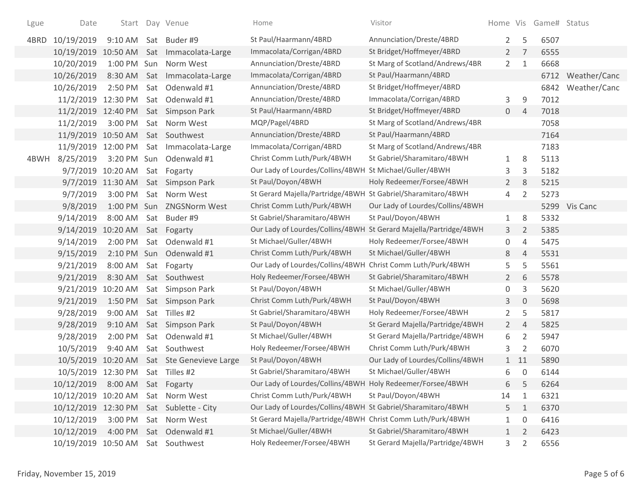| Lgue | Date                             |                               | Start Day Venue                            | Home                                                         | Visitor                          |                |                  | Home Vis Game# Status |                   |
|------|----------------------------------|-------------------------------|--------------------------------------------|--------------------------------------------------------------|----------------------------------|----------------|------------------|-----------------------|-------------------|
| 4BRD | 10/19/2019                       |                               | 9:10 AM Sat Buder #9                       | St Paul/Haarmann/4BRD                                        | Annunciation/Dreste/4BRD         | $2^{\circ}$    | 5                | 6507                  |                   |
|      |                                  |                               | 10/19/2019 10:50 AM Sat Immacolata-Large   | Immacolata/Corrigan/4BRD                                     | St Bridget/Hoffmeyer/4BRD        |                | 7<br>$2^{\circ}$ | 6555                  |                   |
|      | 10/20/2019                       |                               | 1:00 PM Sun Norm West                      | Annunciation/Dreste/4BRD                                     | St Marg of Scotland/Andrews/4BR  | $2^{\circ}$    | $\mathbf{1}$     | 6668                  |                   |
|      | 10/26/2019                       |                               | 8:30 AM Sat Immacolata-Large               | Immacolata/Corrigan/4BRD                                     | St Paul/Haarmann/4BRD            |                |                  |                       | 6712 Weather/Canc |
|      | 10/26/2019                       |                               | 2:50 PM Sat Odenwald #1                    | Annunciation/Dreste/4BRD                                     | St Bridget/Hoffmeyer/4BRD        |                |                  | 6842                  | Weather/Canc      |
|      |                                  |                               | 11/2/2019 12:30 PM Sat Odenwald #1         | Annunciation/Dreste/4BRD                                     | Immacolata/Corrigan/4BRD         | 3              | 9                | 7012                  |                   |
|      |                                  |                               | 11/2/2019 12:40 PM Sat Simpson Park        | St Paul/Haarmann/4BRD                                        | St Bridget/Hoffmeyer/4BRD        | $\overline{0}$ | $\overline{4}$   | 7018                  |                   |
|      | 11/2/2019                        | 3:00 PM                       | Sat Norm West                              | MQP/Pagel/4BRD                                               | St Marg of Scotland/Andrews/4BR  |                |                  | 7058                  |                   |
|      | 11/9/2019 10:50 AM Sat Southwest |                               |                                            | Annunciation/Dreste/4BRD                                     | St Paul/Haarmann/4BRD            |                |                  | 7164                  |                   |
|      |                                  |                               | 11/9/2019 12:00 PM Sat Immacolata-Large    | Immacolata/Corrigan/4BRD                                     | St Marg of Scotland/Andrews/4BR  |                |                  | 7183                  |                   |
| 4BWH | 8/25/2019                        |                               | 3:20 PM Sun Odenwald #1                    | Christ Comm Luth/Purk/4BWH                                   | St Gabriel/Sharamitaro/4BWH      | $\mathbf{1}$   | 8                | 5113                  |                   |
|      |                                  | 9/7/2019 10:20 AM Sat Fogarty |                                            | Our Lady of Lourdes/Collins/4BWH                             | St Michael/Guller/4BWH           | 3              | 3                | 5182                  |                   |
|      |                                  |                               | 9/7/2019 11:30 AM Sat Simpson Park         | St Paul/Doyon/4BWH                                           | Holy Redeemer/Forsee/4BWH        | $\overline{2}$ | 8                | 5215                  |                   |
|      | 9/7/2019                         |                               | 3:00 PM Sat Norm West                      | St Gerard Majella/Partridge/4BWH St Gabriel/Sharamitaro/4BWH |                                  | 4              | $\overline{2}$   | 5273                  |                   |
|      | 9/8/2019                         |                               | 1:00 PM Sun ZNGSNorm West                  | Christ Comm Luth/Purk/4BWH                                   | Our Lady of Lourdes/Collins/4BWH |                |                  |                       | 5299 Vis Canc     |
|      | 9/14/2019                        |                               | 8:00 AM Sat Buder #9                       | St Gabriel/Sharamitaro/4BWH                                  | St Paul/Doyon/4BWH               | 1              | 8                | 5332                  |                   |
|      | 9/14/2019 10:20 AM Sat Fogarty   |                               |                                            | Our Lady of Lourdes/Collins/4BWH                             | St Gerard Majella/Partridge/4BWH | 3 <sup>1</sup> | $\overline{2}$   | 5385                  |                   |
|      | 9/14/2019                        |                               | 2:00 PM Sat Odenwald #1                    | St Michael/Guller/4BWH                                       | Holy Redeemer/Forsee/4BWH        | 0              | $\overline{4}$   | 5475                  |                   |
|      | 9/15/2019                        |                               | 2:10 PM Sun Odenwald #1                    | Christ Comm Luth/Purk/4BWH                                   | St Michael/Guller/4BWH           | 8              | $\overline{4}$   | 5531                  |                   |
|      | 9/21/2019                        | 8:00 AM                       | Sat Fogarty                                | Our Lady of Lourdes/Collins/4BWH                             | Christ Comm Luth/Purk/4BWH       | 5              | 5                | 5561                  |                   |
|      | 9/21/2019                        |                               | 8:30 AM Sat Southwest                      | Holy Redeemer/Forsee/4BWH                                    | St Gabriel/Sharamitaro/4BWH      | $2^{\circ}$    | 6                | 5578                  |                   |
|      | 9/21/2019 10:20 AM               |                               | Sat Simpson Park                           | St Paul/Doyon/4BWH                                           | St Michael/Guller/4BWH           | 0              | 3                | 5620                  |                   |
|      | 9/21/2019                        |                               | 1:50 PM Sat Simpson Park                   | Christ Comm Luth/Purk/4BWH                                   | St Paul/Doyon/4BWH               | 3              | $\mathbf{0}$     | 5698                  |                   |
|      | 9/28/2019                        | 9:00 AM                       | Sat Tilles #2                              | St Gabriel/Sharamitaro/4BWH                                  | Holy Redeemer/Forsee/4BWH        | $\overline{2}$ | 5                | 5817                  |                   |
|      | 9/28/2019                        | 9:10 AM                       | Sat Simpson Park                           | St Paul/Doyon/4BWH                                           | St Gerard Majella/Partridge/4BWH | $2^{\circ}$    | $\overline{4}$   | 5825                  |                   |
|      | 9/28/2019                        | 2:00 PM                       | Sat Odenwald #1                            | St Michael/Guller/4BWH                                       | St Gerard Majella/Partridge/4BWH | 6              | 2                | 5947                  |                   |
|      | 10/5/2019                        | 9:40 AM                       | Sat Southwest                              | Holy Redeemer/Forsee/4BWH                                    | Christ Comm Luth/Purk/4BWH       | 3              | 2                | 6070                  |                   |
|      |                                  |                               | 10/5/2019 10:20 AM Sat Ste Genevieve Large | St Paul/Doyon/4BWH                                           | Our Lady of Lourdes/Collins/4BWH |                | $1$ 11           | 5890                  |                   |
|      | 10/5/2019 12:30 PM Sat Tilles #2 |                               |                                            | St Gabriel/Sharamitaro/4BWH                                  | St Michael/Guller/4BWH           | 6              | $\mathbf 0$      | 6144                  |                   |
|      | 10/12/2019 8:00 AM Sat Fogarty   |                               |                                            | Our Lady of Lourdes/Collins/4BWH Holy Redeemer/Forsee/4BWH   |                                  | 6              | 5                | 6264                  |                   |
|      | 10/12/2019 10:20 AM              |                               | Sat Norm West                              | Christ Comm Luth/Purk/4BWH                                   | St Paul/Doyon/4BWH               | 14             | 1                | 6321                  |                   |
|      |                                  |                               | 10/12/2019 12:30 PM Sat Sublette - City    | Our Lady of Lourdes/Collins/4BWH St Gabriel/Sharamitaro/4BWH |                                  | 5              | $\mathbf{1}$     | 6370                  |                   |
|      | 10/12/2019                       | 3:00 PM                       | Sat Norm West                              | St Gerard Majella/Partridge/4BWH Christ Comm Luth/Purk/4BWH  |                                  | $\mathbf{1}$   | 0                | 6416                  |                   |
|      | 10/12/2019                       |                               | 4:00 PM Sat Odenwald #1                    | St Michael/Guller/4BWH                                       | St Gabriel/Sharamitaro/4BWH      | 1              | 2                | 6423                  |                   |
|      | 10/19/2019 10:50 AM              |                               | Sat Southwest                              | Holy Redeemer/Forsee/4BWH                                    | St Gerard Majella/Partridge/4BWH | $\mathbf{3}$   | $\overline{2}$   | 6556                  |                   |